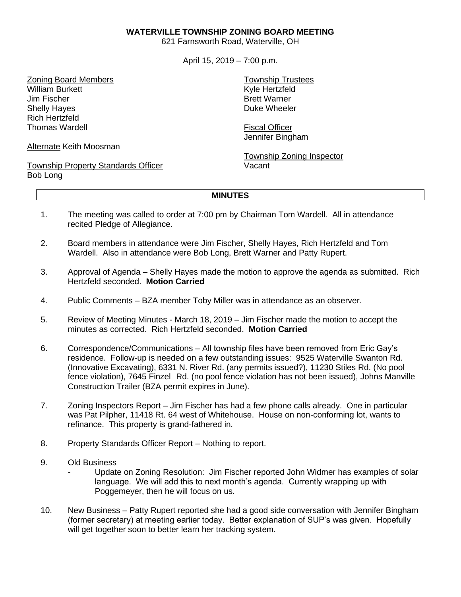## **WATERVILLE TOWNSHIP ZONING BOARD MEETING**

621 Farnsworth Road, Waterville, OH

April 15, 2019 – 7:00 p.m.

Zoning Board Members William Burkett Jim Fischer Shelly Hayes Rich Hertzfeld Thomas Wardell

Alternate Keith Moosman

Township Property Standards Officer Bob Long

Township Trustees Kyle Hertzfeld Brett Warner Duke Wheeler

Fiscal Officer Jennifer Bingham

Township Zoning Inspector Vacant

## **MINUTES**

- 1. The meeting was called to order at 7:00 pm by Chairman Tom Wardell. All in attendance recited Pledge of Allegiance.
- 2. Board members in attendance were Jim Fischer, Shelly Hayes, Rich Hertzfeld and Tom Wardell. Also in attendance were Bob Long, Brett Warner and Patty Rupert.
- 3. Approval of Agenda Shelly Hayes made the motion to approve the agenda as submitted. Rich Hertzfeld seconded. **Motion Carried**
- 4. Public Comments BZA member Toby Miller was in attendance as an observer.
- 5. Review of Meeting Minutes March 18, 2019 Jim Fischer made the motion to accept the minutes as corrected. Rich Hertzfeld seconded. **Motion Carried**
- 6. Correspondence/Communications All township files have been removed from Eric Gay's residence. Follow-up is needed on a few outstanding issues: 9525 Waterville Swanton Rd. (Innovative Excavating), 6331 N. River Rd. (any permits issued?), 11230 Stiles Rd. (No pool fence violation), 7645 Finzel Rd. (no pool fence violation has not been issued), Johns Manville Construction Trailer (BZA permit expires in June).
- 7. Zoning Inspectors Report Jim Fischer has had a few phone calls already. One in particular was Pat Pilpher, 11418 Rt. 64 west of Whitehouse. House on non-conforming lot, wants to refinance. This property is grand-fathered in.
- 8. Property Standards Officer Report Nothing to report.
- 9. Old Business
	- Update on Zoning Resolution: Jim Fischer reported John Widmer has examples of solar language. We will add this to next month's agenda. Currently wrapping up with Poggemeyer, then he will focus on us.
- 10. New Business Patty Rupert reported she had a good side conversation with Jennifer Bingham (former secretary) at meeting earlier today. Better explanation of SUP's was given. Hopefully will get together soon to better learn her tracking system.